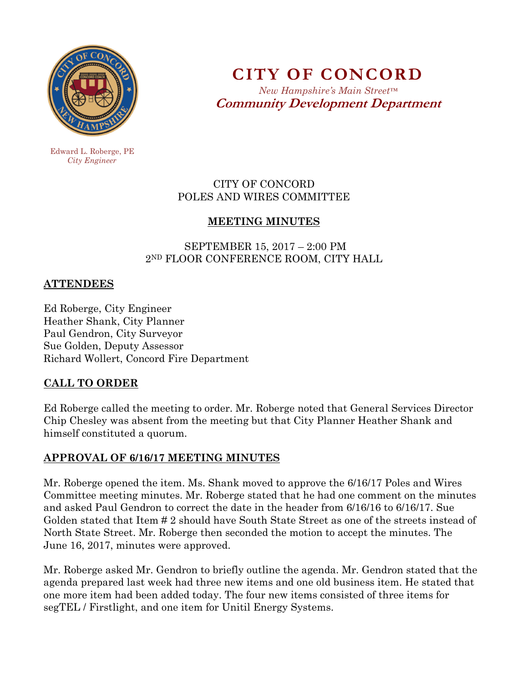

**CITY OF CONCORD**  *New Hampshire's Main Street™*

**Community Development Department** 

 Edward L. Roberge, PE  *City Engineer* 

## CITY OF CONCORD POLES AND WIRES COMMITTEE

# **MEETING MINUTES**

### SEPTEMBER 15, 2017 – 2:00 PM 2ND FLOOR CONFERENCE ROOM, CITY HALL

### **ATTENDEES**

Ed Roberge, City Engineer Heather Shank, City Planner Paul Gendron, City Surveyor Sue Golden, Deputy Assessor Richard Wollert, Concord Fire Department

# **CALL TO ORDER**

Ed Roberge called the meeting to order. Mr. Roberge noted that General Services Director Chip Chesley was absent from the meeting but that City Planner Heather Shank and himself constituted a quorum.

# **APPROVAL OF 6/16/17 MEETING MINUTES**

Mr. Roberge opened the item. Ms. Shank moved to approve the 6/16/17 Poles and Wires Committee meeting minutes. Mr. Roberge stated that he had one comment on the minutes and asked Paul Gendron to correct the date in the header from 6/16/16 to 6/16/17. Sue Golden stated that Item # 2 should have South State Street as one of the streets instead of North State Street. Mr. Roberge then seconded the motion to accept the minutes. The June 16, 2017, minutes were approved.

Mr. Roberge asked Mr. Gendron to briefly outline the agenda. Mr. Gendron stated that the agenda prepared last week had three new items and one old business item. He stated that one more item had been added today. The four new items consisted of three items for segTEL / Firstlight, and one item for Unitil Energy Systems.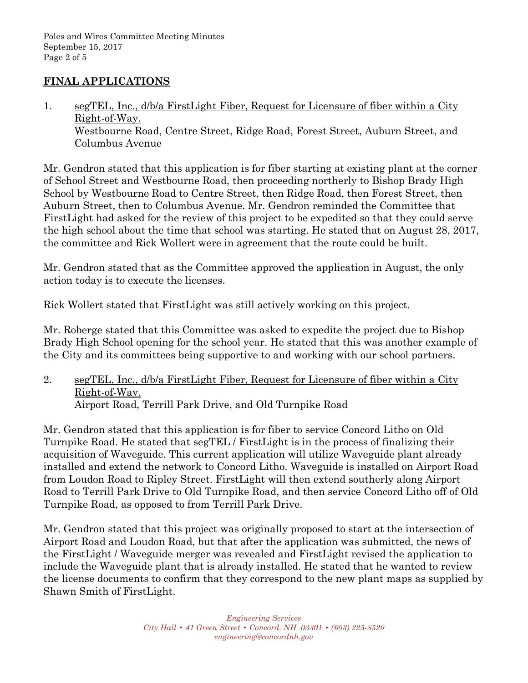## **FINAL APPLICATIONS**

1. segTEL, Inc., d/b/a FirstLight Fiber, Request for Licensure of fiber within a City Right-of-Way. Westbourne Road, Centre Street, Ridge Road, Forest Street, Auburn Street, and Columbus Avenue

Mr. Gendron stated that this application is for fiber starting at existing plant at the corner of School Street and Westbourne Road, then proceeding northerly to Bishop Brady High School by Westbourne Road to Centre Street, then Ridge Road, then Forest Street, then Auburn Street, then to Columbus Avenue. Mr. Gendron reminded the Committee that FirstLight had asked for the review of this project to be expedited so that they could serve the high school about the time that school was starting. He stated that on August 28, 2017, the committee and Rick Wollert were in agreement that the route could be built.

Mr. Gendron stated that as the Committee approved the application in August, the only action today is to execute the licenses.

Rick Wollert stated that FirstLight was still actively working on this project.

Mr. Roberge stated that this Committee was asked to expedite the project due to Bishop Brady High School opening for the school year. He stated that this was another example of the City and its committees being supportive to and working with our school partners.

2. segTEL, Inc., d/b/a FirstLight Fiber, Request for Licensure of fiber within a City Right-of-Way. Airport Road, Terrill Park Drive, and Old Turnpike Road

Mr. Gendron stated that this application is for fiber to service Concord Litho on Old Turnpike Road. He stated that segTEL / FirstLight is in the process of finalizing their acquisition of Waveguide. This current application will utilize Waveguide plant already installed and extend the network to Concord Litho. Waveguide is installed on Airport Road from Loudon Road to Ripley Street. FirstLight will then extend southerly along Airport Road to Terrill Park Drive to Old Turnpike Road, and then service Concord Litho off of Old Turnpike Road, as opposed to from Terrill Park Drive.

Mr. Gendron stated that this project was originally proposed to start at the intersection of Airport Road and Loudon Road, but that after the application was submitted, the news of the FirstLight / Waveguide merger was revealed and FirstLight revised the application to include the Waveguide plant that is already installed. He stated that he wanted to review the license documents to confirm that they correspond to the new plant maps as supplied by Shawn Smith of FirstLight.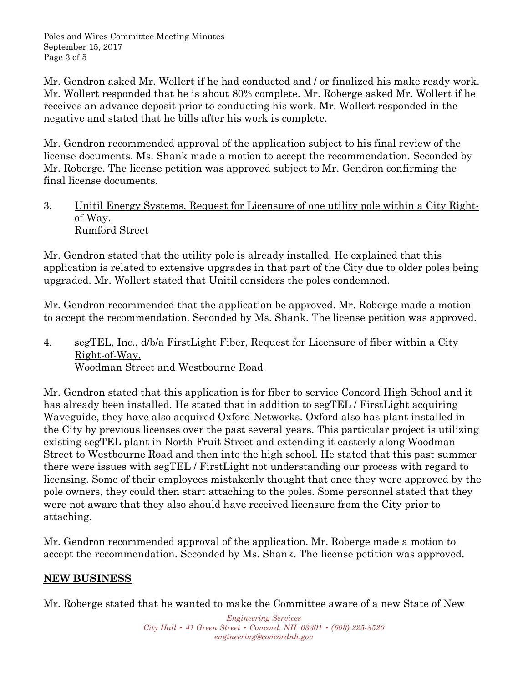Poles and Wires Committee Meeting Minutes September 15, 2017 Page 3 of 5

Mr. Gendron asked Mr. Wollert if he had conducted and / or finalized his make ready work. Mr. Wollert responded that he is about 80% complete. Mr. Roberge asked Mr. Wollert if he receives an advance deposit prior to conducting his work. Mr. Wollert responded in the negative and stated that he bills after his work is complete.

Mr. Gendron recommended approval of the application subject to his final review of the license documents. Ms. Shank made a motion to accept the recommendation. Seconded by Mr. Roberge. The license petition was approved subject to Mr. Gendron confirming the final license documents.

3. Unitil Energy Systems, Request for Licensure of one utility pole within a City Rightof-Way. Rumford Street

Mr. Gendron stated that the utility pole is already installed. He explained that this application is related to extensive upgrades in that part of the City due to older poles being upgraded. Mr. Wollert stated that Unitil considers the poles condemned.

Mr. Gendron recommended that the application be approved. Mr. Roberge made a motion to accept the recommendation. Seconded by Ms. Shank. The license petition was approved.

4. segTEL, Inc., d/b/a FirstLight Fiber, Request for Licensure of fiber within a City Right-of-Way. Woodman Street and Westbourne Road

Mr. Gendron stated that this application is for fiber to service Concord High School and it has already been installed. He stated that in addition to segTEL / FirstLight acquiring Waveguide, they have also acquired Oxford Networks. Oxford also has plant installed in the City by previous licenses over the past several years. This particular project is utilizing existing segTEL plant in North Fruit Street and extending it easterly along Woodman Street to Westbourne Road and then into the high school. He stated that this past summer there were issues with segTEL / FirstLight not understanding our process with regard to licensing. Some of their employees mistakenly thought that once they were approved by the pole owners, they could then start attaching to the poles. Some personnel stated that they were not aware that they also should have received licensure from the City prior to attaching.

Mr. Gendron recommended approval of the application. Mr. Roberge made a motion to accept the recommendation. Seconded by Ms. Shank. The license petition was approved.

#### **NEW BUSINESS**

Mr. Roberge stated that he wanted to make the Committee aware of a new State of New

*Engineering Services City Hall • 41 Green Street • Concord, NH 03301 • (603) 225-8520 engineering@concordnh.gov*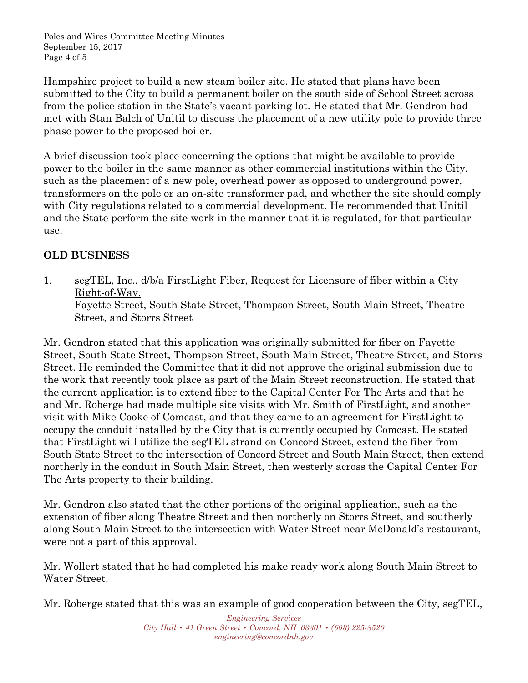Poles and Wires Committee Meeting Minutes September 15, 2017 Page 4 of 5

Hampshire project to build a new steam boiler site. He stated that plans have been submitted to the City to build a permanent boiler on the south side of School Street across from the police station in the State's vacant parking lot. He stated that Mr. Gendron had met with Stan Balch of Unitil to discuss the placement of a new utility pole to provide three phase power to the proposed boiler.

A brief discussion took place concerning the options that might be available to provide power to the boiler in the same manner as other commercial institutions within the City, such as the placement of a new pole, overhead power as opposed to underground power, transformers on the pole or an on-site transformer pad, and whether the site should comply with City regulations related to a commercial development. He recommended that Unitil and the State perform the site work in the manner that it is regulated, for that particular use.

# **OLD BUSINESS**

1. segTEL, Inc., d/b/a FirstLight Fiber, Request for Licensure of fiber within a City Right-of-Way. Fayette Street, South State Street, Thompson Street, South Main Street, Theatre Street, and Storrs Street

Mr. Gendron stated that this application was originally submitted for fiber on Fayette Street, South State Street, Thompson Street, South Main Street, Theatre Street, and Storrs Street. He reminded the Committee that it did not approve the original submission due to the work that recently took place as part of the Main Street reconstruction. He stated that the current application is to extend fiber to the Capital Center For The Arts and that he and Mr. Roberge had made multiple site visits with Mr. Smith of FirstLight, and another visit with Mike Cooke of Comcast, and that they came to an agreement for FirstLight to occupy the conduit installed by the City that is currently occupied by Comcast. He stated that FirstLight will utilize the segTEL strand on Concord Street, extend the fiber from South State Street to the intersection of Concord Street and South Main Street, then extend northerly in the conduit in South Main Street, then westerly across the Capital Center For The Arts property to their building.

Mr. Gendron also stated that the other portions of the original application, such as the extension of fiber along Theatre Street and then northerly on Storrs Street, and southerly along South Main Street to the intersection with Water Street near McDonald's restaurant, were not a part of this approval.

Mr. Wollert stated that he had completed his make ready work along South Main Street to Water Street.

Mr. Roberge stated that this was an example of good cooperation between the City, segTEL,